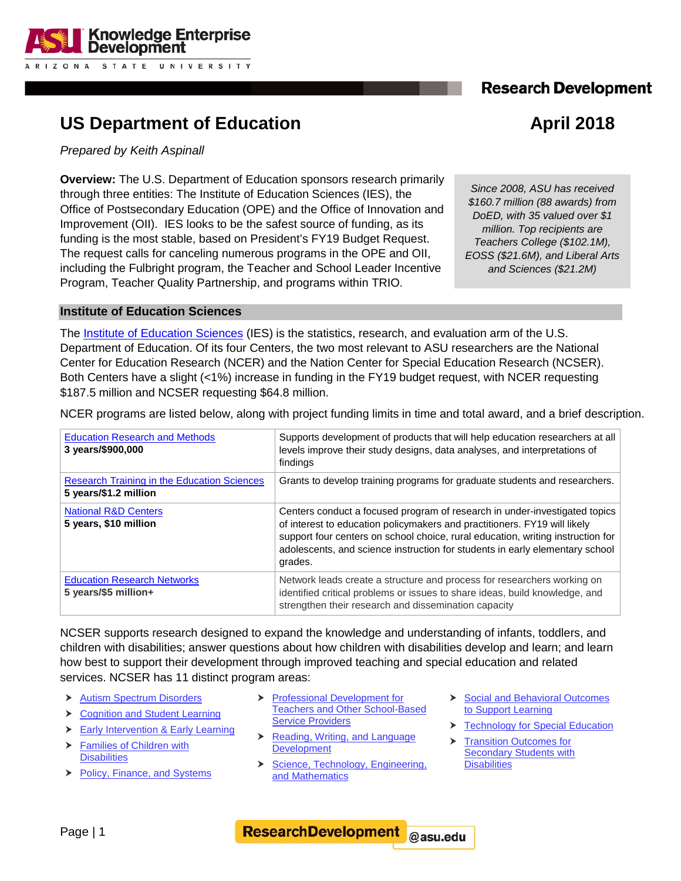## **Research Development**



# **US Department of Education April 2018**

*Prepared by Keith Aspinall*

**Overview:** The U.S. Department of Education sponsors research primarily through three entities: The Institute of Education Sciences (IES), the Office of Postsecondary Education (OPE) and the Office of Innovation and Improvement (OII). IES looks to be the safest source of funding, as its funding is the most stable, based on President's FY19 Budget Request. The request calls for canceling numerous programs in the OPE and OII, including the Fulbright program, the Teacher and School Leader Incentive Program, Teacher Quality Partnership, and programs within TRIO.

*Since 2008, ASU has received \$160.7 million (88 awards) from DoED, with 35 valued over \$1 million. Top recipients are Teachers College (\$102.1M), EOSS (\$21.6M), and Liberal Arts and Sciences (\$21.2M)*

### **Institute of Education Sciences**

The [Institute of Education Sciences](https://ies.ed.gov/) (IES) is the statistics, research, and evaluation arm of the U.S. Department of Education. Of its four Centers, the two most relevant to ASU researchers are the National Center for Education Research (NCER) and the Nation Center for Special Education Research (NCSER). Both Centers have a slight (<1%) increase in funding in the FY19 budget request, with NCER requesting \$187.5 million and NCSER requesting \$64.8 million.

NCER programs are listed below, along with project funding limits in time and total award, and a brief description.

| <b>Education Research and Methods</b><br>3 years/\$900,000                  | Supports development of products that will help education researchers at all<br>levels improve their study designs, data analyses, and interpretations of<br>findings                                                                                                                                                                 |
|-----------------------------------------------------------------------------|---------------------------------------------------------------------------------------------------------------------------------------------------------------------------------------------------------------------------------------------------------------------------------------------------------------------------------------|
| <b>Research Training in the Education Sciences</b><br>5 years/\$1.2 million | Grants to develop training programs for graduate students and researchers.                                                                                                                                                                                                                                                            |
| <b>National R&amp;D Centers</b><br>5 years, \$10 million                    | Centers conduct a focused program of research in under-investigated topics<br>of interest to education policymakers and practitioners. FY19 will likely<br>support four centers on school choice, rural education, writing instruction for<br>adolescents, and science instruction for students in early elementary school<br>grades. |
| <b>Education Research Networks</b><br>5 years/\$5 million+                  | Network leads create a structure and process for researchers working on<br>identified critical problems or issues to share ideas, build knowledge, and<br>strengthen their research and dissemination capacity                                                                                                                        |

NCSER supports research designed to expand the knowledge and understanding of infants, toddlers, and children with disabilities; answer questions about how children with disabilities develop and learn; and learn how best to support their development through improved teaching and special education and related services. NCSER has 11 distinct program areas:

- ▶ [Autism Spectrum Disorders](https://ies.ed.gov/ncser/projects/program.asp?ProgID=42)
- ▶ Cognition and Student Learning
- [Early Intervention &](https://ies.ed.gov/ncser/projects/program.asp?ProgID=27) Early Learning
- [Families of Children with](https://ies.ed.gov/ncser/projects/program.asp?ProgID=73)  **[Disabilities](https://ies.ed.gov/ncser/projects/program.asp?ProgID=73)**
- [Policy, Finance, and Systems](https://ies.ed.gov/ncser/projects/program.asp?ProgID=54)
- **Professional Development for** [Teachers and Other School-Based](https://ies.ed.gov/funding/ncser_rfas/ncser_professionaldev.asp)  **[Service Providers](https://ies.ed.gov/funding/ncser_rfas/ncser_professionaldev.asp)**
- $\triangleright$  Reading, Writing, and Language [Development](https://ies.ed.gov/ncser/projects/program.asp?ProgID=43)
- Science, Technology, Engineering, [and Mathematics](https://ies.ed.gov/ncser/projects/program.asp?ProgID=30)
- Social and Behavioral Outcomes [to Support Learning](https://ies.ed.gov/ncser/projects/program.asp?ProgID=56)
- **[Technology for Special Education](https://ies.ed.gov/ncser/projects/program.asp?ProgID=74)**
- ▶ Transition Outcomes for **Secondary Students with [Disabilities](https://ies.ed.gov/ncser/projects/program.asp?ProgID=45)**

**ResearchDevelopment** @asu.edu